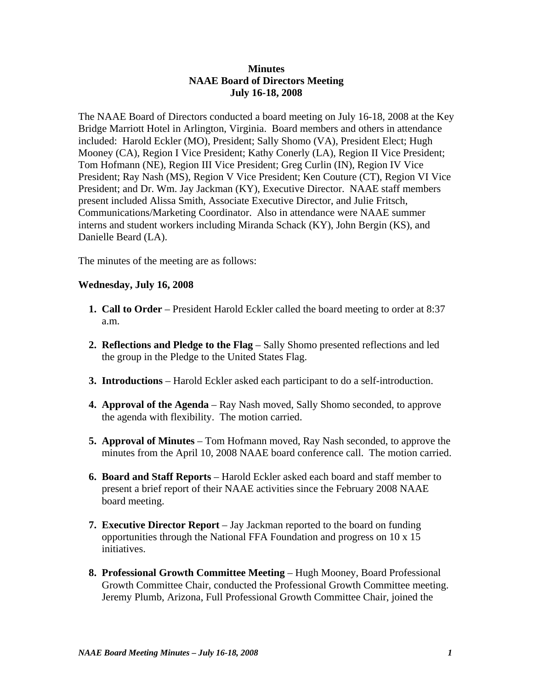## **Minutes NAAE Board of Directors Meeting July 16-18, 2008**

The NAAE Board of Directors conducted a board meeting on July 16-18, 2008 at the Key Bridge Marriott Hotel in Arlington, Virginia. Board members and others in attendance included: Harold Eckler (MO), President; Sally Shomo (VA), President Elect; Hugh Mooney (CA), Region I Vice President; Kathy Conerly (LA), Region II Vice President; Tom Hofmann (NE), Region III Vice President; Greg Curlin (IN), Region IV Vice President; Ray Nash (MS), Region V Vice President; Ken Couture (CT), Region VI Vice President; and Dr. Wm. Jay Jackman (KY), Executive Director. NAAE staff members present included Alissa Smith, Associate Executive Director, and Julie Fritsch, Communications/Marketing Coordinator. Also in attendance were NAAE summer interns and student workers including Miranda Schack (KY), John Bergin (KS), and Danielle Beard (LA).

The minutes of the meeting are as follows:

## **Wednesday, July 16, 2008**

- **1. Call to Order** President Harold Eckler called the board meeting to order at 8:37 a.m.
- **2. Reflections and Pledge to the Flag** Sally Shomo presented reflections and led the group in the Pledge to the United States Flag.
- **3. Introductions**  Harold Eckler asked each participant to do a self-introduction.
- **4. Approval of the Agenda** Ray Nash moved, Sally Shomo seconded, to approve the agenda with flexibility. The motion carried.
- **5. Approval of Minutes** Tom Hofmann moved, Ray Nash seconded, to approve the minutes from the April 10, 2008 NAAE board conference call. The motion carried.
- **6. Board and Staff Reports** Harold Eckler asked each board and staff member to present a brief report of their NAAE activities since the February 2008 NAAE board meeting.
- **7. Executive Director Report** Jay Jackman reported to the board on funding opportunities through the National FFA Foundation and progress on 10 x 15 initiatives.
- **8. Professional Growth Committee Meeting** Hugh Mooney, Board Professional Growth Committee Chair, conducted the Professional Growth Committee meeting. Jeremy Plumb, Arizona, Full Professional Growth Committee Chair, joined the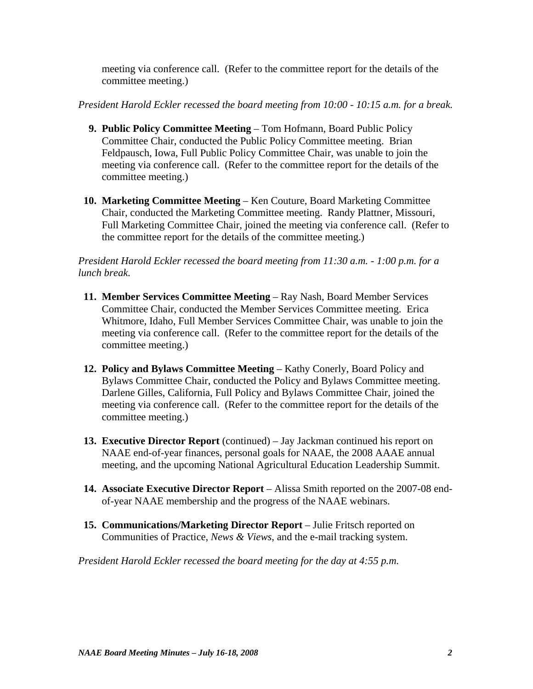meeting via conference call. (Refer to the committee report for the details of the committee meeting.)

*President Harold Eckler recessed the board meeting from 10:00 - 10:15 a.m. for a break.*

- **9. Public Policy Committee Meeting** Tom Hofmann, Board Public Policy Committee Chair, conducted the Public Policy Committee meeting. Brian Feldpausch, Iowa, Full Public Policy Committee Chair, was unable to join the meeting via conference call. (Refer to the committee report for the details of the committee meeting.)
- **10. Marketing Committee Meeting** Ken Couture, Board Marketing Committee Chair, conducted the Marketing Committee meeting. Randy Plattner, Missouri, Full Marketing Committee Chair, joined the meeting via conference call. (Refer to the committee report for the details of the committee meeting.)

*President Harold Eckler recessed the board meeting from 11:30 a.m. - 1:00 p.m. for a lunch break.*

- **11. Member Services Committee Meeting** Ray Nash, Board Member Services Committee Chair, conducted the Member Services Committee meeting. Erica Whitmore, Idaho, Full Member Services Committee Chair, was unable to join the meeting via conference call. (Refer to the committee report for the details of the committee meeting.)
- **12. Policy and Bylaws Committee Meeting**  Kathy Conerly, Board Policy and Bylaws Committee Chair, conducted the Policy and Bylaws Committee meeting. Darlene Gilles, California, Full Policy and Bylaws Committee Chair, joined the meeting via conference call. (Refer to the committee report for the details of the committee meeting.)
- **13. Executive Director Report** (continued) Jay Jackman continued his report on NAAE end-of-year finances, personal goals for NAAE, the 2008 AAAE annual meeting, and the upcoming National Agricultural Education Leadership Summit.
- **14. Associate Executive Director Report** Alissa Smith reported on the 2007-08 endof-year NAAE membership and the progress of the NAAE webinars.
- **15. Communications/Marketing Director Report** Julie Fritsch reported on Communities of Practice, *News & Views*, and the e-mail tracking system.

*President Harold Eckler recessed the board meeting for the day at 4:55 p.m.*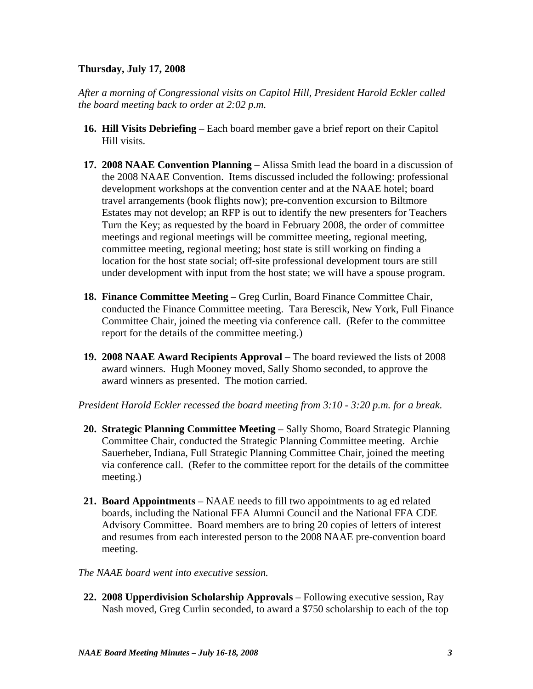## **Thursday, July 17, 2008**

*After a morning of Congressional visits on Capitol Hill, President Harold Eckler called the board meeting back to order at 2:02 p.m.* 

- **16. Hill Visits Debriefing** Each board member gave a brief report on their Capitol Hill visits.
- **17. 2008 NAAE Convention Planning** Alissa Smith lead the board in a discussion of the 2008 NAAE Convention. Items discussed included the following: professional development workshops at the convention center and at the NAAE hotel; board travel arrangements (book flights now); pre-convention excursion to Biltmore Estates may not develop; an RFP is out to identify the new presenters for Teachers Turn the Key; as requested by the board in February 2008, the order of committee meetings and regional meetings will be committee meeting, regional meeting, committee meeting, regional meeting; host state is still working on finding a location for the host state social; off-site professional development tours are still under development with input from the host state; we will have a spouse program.
- **18. Finance Committee Meeting**  Greg Curlin, Board Finance Committee Chair, conducted the Finance Committee meeting. Tara Berescik, New York, Full Finance Committee Chair, joined the meeting via conference call. (Refer to the committee report for the details of the committee meeting.)
- **19. 2008 NAAE Award Recipients Approval** The board reviewed the lists of 2008 award winners. Hugh Mooney moved, Sally Shomo seconded, to approve the award winners as presented. The motion carried.

*President Harold Eckler recessed the board meeting from 3:10 - 3:20 p.m. for a break.*

- **20. Strategic Planning Committee Meeting** Sally Shomo, Board Strategic Planning Committee Chair, conducted the Strategic Planning Committee meeting. Archie Sauerheber, Indiana, Full Strategic Planning Committee Chair, joined the meeting via conference call. (Refer to the committee report for the details of the committee meeting.)
- **21. Board Appointments** NAAE needs to fill two appointments to ag ed related boards, including the National FFA Alumni Council and the National FFA CDE Advisory Committee. Board members are to bring 20 copies of letters of interest and resumes from each interested person to the 2008 NAAE pre-convention board meeting.
- *The NAAE board went into executive session.*
- **22. 2008 Upperdivision Scholarship Approvals** Following executive session, Ray Nash moved, Greg Curlin seconded, to award a \$750 scholarship to each of the top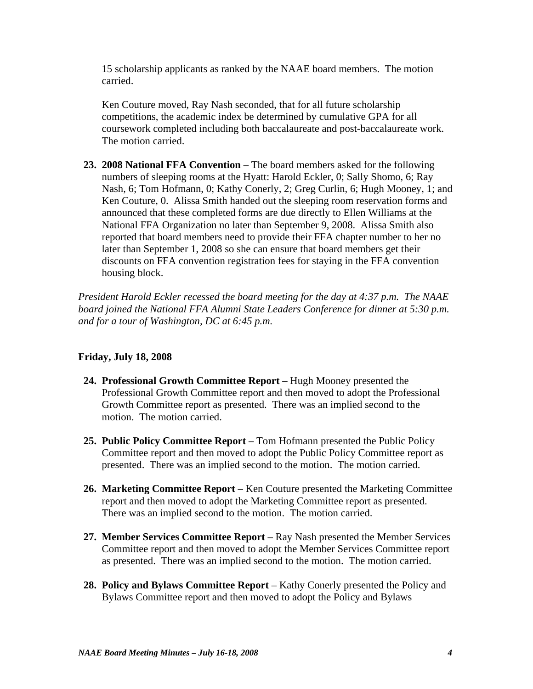15 scholarship applicants as ranked by the NAAE board members. The motion carried.

 Ken Couture moved, Ray Nash seconded, that for all future scholarship competitions, the academic index be determined by cumulative GPA for all coursework completed including both baccalaureate and post-baccalaureate work. The motion carried.

 **23. 2008 National FFA Convention** – The board members asked for the following numbers of sleeping rooms at the Hyatt: Harold Eckler, 0; Sally Shomo, 6; Ray Nash, 6; Tom Hofmann, 0; Kathy Conerly, 2; Greg Curlin, 6; Hugh Mooney, 1; and Ken Couture, 0. Alissa Smith handed out the sleeping room reservation forms and announced that these completed forms are due directly to Ellen Williams at the National FFA Organization no later than September 9, 2008. Alissa Smith also reported that board members need to provide their FFA chapter number to her no later than September 1, 2008 so she can ensure that board members get their discounts on FFA convention registration fees for staying in the FFA convention housing block.

*President Harold Eckler recessed the board meeting for the day at 4:37 p.m. The NAAE board joined the National FFA Alumni State Leaders Conference for dinner at 5:30 p.m. and for a tour of Washington, DC at 6:45 p.m.*

## **Friday, July 18, 2008**

- **24. Professional Growth Committee Report** Hugh Mooney presented the Professional Growth Committee report and then moved to adopt the Professional Growth Committee report as presented. There was an implied second to the motion. The motion carried.
- **25. Public Policy Committee Report** Tom Hofmann presented the Public Policy Committee report and then moved to adopt the Public Policy Committee report as presented. There was an implied second to the motion. The motion carried.
- **26. Marketing Committee Report**  Ken Couture presented the Marketing Committee report and then moved to adopt the Marketing Committee report as presented. There was an implied second to the motion. The motion carried.
- **27. Member Services Committee Report** Ray Nash presented the Member Services Committee report and then moved to adopt the Member Services Committee report as presented. There was an implied second to the motion. The motion carried.
- **28. Policy and Bylaws Committee Report** Kathy Conerly presented the Policy and Bylaws Committee report and then moved to adopt the Policy and Bylaws